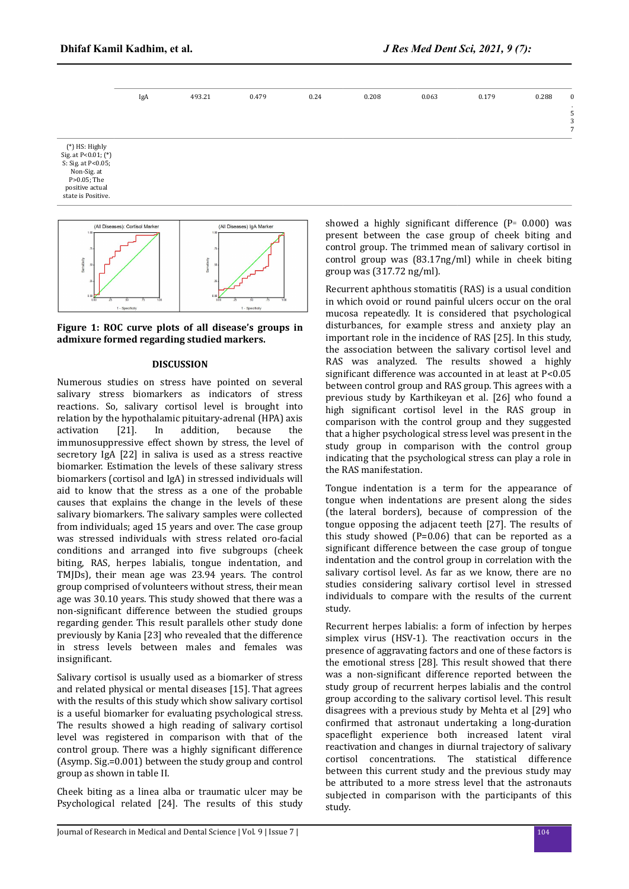

P>0.05; The positive actual state is Positive. (All Diseases): Cortisol Marker



**Figure 1: ROC curve plots of all disease's groups in admixure formed regarding studied markers.**

## **DISCUSSION**

Numerous studies on stress have pointed on several salivary stress biomarkers as indicators of stress reactions. So, salivary cortisol level is brought into relation by the hypothalamic pituitary-adrenal (HPA) axis activation [21]. In addition, because the immunosuppressive effect shown by stress, the level of secretory IgA [22] in saliva is used as a stress reactive biomarker. Estimation the levels of these salivary stress biomarkers (cortisol and IgA) in stressed individuals will aid to know that the stress as a one of the probable causes that explains the change in the levels of these salivary biomarkers. The salivary samples were collected from individuals; aged 15 years and over. The case group was stressed individuals with stress related oro-facial conditions and arranged into five subgroups (cheek biting, RAS, herpes labialis, tongue indentation, and TMJDs), their mean age was 23.94 years. The control group comprised of volunteers without stress, their mean age was 30.10 years. This study showed that there was a non-significant difference between the studied groups regarding gender. This result parallels other study done previously by Kania [23] who revealed that the difference in stress levels between males and females was insignificant.

Salivary cortisol is usually used as a biomarker of stress and related physical or mental diseases [15]. That agrees with the results of this study which show salivary cortisol is a useful biomarker for evaluating psychological stress. The results showed a high reading of salivary cortisol level was registered in comparison with that of the control group. There was a highly significant difference (Asymp. Sig.=0.001) between the study group and control group as shown in table II.

Cheek biting as a linea alba or traumatic ulcer may be Psychological related [24]. The results of this study showed a highly significant difference ( $P = 0.000$ ) was present between the case group of cheek biting and control group. The trimmed mean of salivary cortisol in control group was (83.17ng/ml) while in cheek biting group was (317.72 ng/ml).

Recurrent aphthous stomatitis (RAS) is a usual condition in which ovoid or round painful ulcers occur on the oral mucosa repeatedly. It is considered that psychological disturbances, for example stress and anxiety play an important role in the incidence of RAS [25]. In this study, the association between the salivary cortisol level and RAS was analyzed. The results showed a highly significant difference was accounted in at least at  $P<0.05$ between control group and RAS group. This agrees with a previous study by Karthikeyan et al. [26] who found a high significant cortisol level in the RAS group in comparison with the control group and they suggested that a higher psychological stress level was present in the study group in comparison with the control group indicating that the psychological stress can play a role in the RAS manifestation.

Tongue indentation is a term for the appearance of tongue when indentations are present along the sides (the lateral borders), because of compression of the tongue opposing the adjacent teeth [27]. The results of this study showed  $(P=0.06)$  that can be reported as a significant difference between the case group of tongue indentation and the control group in correlation with the salivary cortisol level. As far as we know, there are no studies considering salivary cortisol level in stressed individuals to compare with the results of the current study.

Recurrent herpes labialis: a form of infection by herpes simplex virus (HSV-1). The reactivation occurs in the presence of aggravating factors and one of these factors is the emotional stress [28]. This result showed that there was a non-significant difference reported between the study group of recurrent herpes labialis and the control group according to the salivary cortisol level. This result disagrees with a previous study by Mehta et al [29] who confirmed that astronaut undertaking a long-duration spaceflight experience both increased latent viral reactivation and changes in diurnal trajectory of salivary cortisol concentrations. The statistical difference between this current study and the previous study may be attributed to a more stress level that the astronauts subjected in comparison with the participants of this study.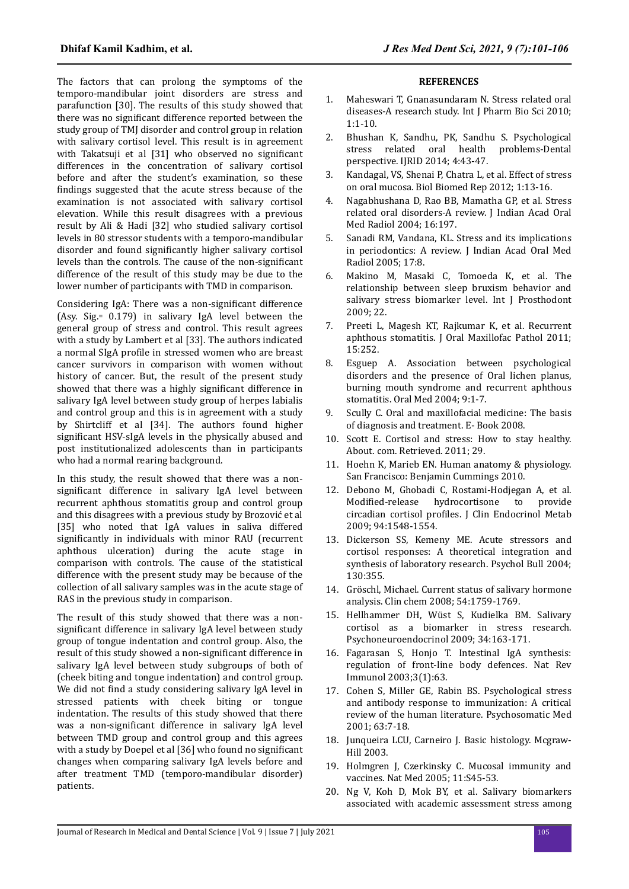The factors that can prolong the symptoms of the temporo-mandibular joint disorders are stress and parafunction [30]. The results of this study showed that there was no significant difference reported between the study group of TMJ disorder and control group in relation with salivary cortisol level. This result is in agreement with Takatsuji et al [31] who observed no significant differences in the concentration of salivary cortisol before and after the student's examination, so these findings suggested that the acute stress because of the examination is not associated with salivary cortisol elevation. While this result disagrees with a previous result by Ali & Hadi [32] who studied salivary cortisol levels in 80 stressor students with a temporo-mandibular disorder and found significantly higher salivary cortisol levels than the controls. The cause of the non-significant difference of the result of this study may be due to the lower number of participants with TMD in comparison.

Considering IgA: There was a non-significant difference (Asy. Sig.꞊ 0.179) in salivary IgA level between the general group of stress and control. This result agrees with a study by Lambert et al [33]. The authors indicated a normal SIgA profile in stressed women who are breast cancer survivors in comparison with women without history of cancer. But, the result of the present study showed that there was a highly significant difference in salivary IgA level between study group of herpes labialis and control group and this is in agreement with a study by Shirtcliff et al [34]. The authors found higher significant HSV-sIgA levels in the physically abused and post institutionalized adolescents than in participants who had a normal rearing background.

In this study, the result showed that there was a nonsignificant difference in salivary IgA level between recurrent aphthous stomatitis group and control group and this disagrees with a previous study by Brozović et al [35] who noted that IgA values in saliva differed significantly in individuals with minor RAU (recurrent aphthous ulceration) during the acute stage in comparison with controls. The cause of the statistical difference with the present study may be because of the collection of all salivary samples was in the acute stage of RAS in the previous study in comparison.

The result of this study showed that there was a nonsignificant difference in salivary IgA level between study group of tongue indentation and control group. Also, the result of this study showed a non-significant difference in salivary IgA level between study subgroups of both of (cheek biting and tongue indentation) and control group. We did not find a study considering salivary IgA level in stressed patients with cheek biting or tongue indentation. The results of this study showed that there was a non-significant difference in salivary IgA level between TMD group and control group and this agrees with a study by Doepel et al [36] who found no significant changes when comparing salivary IgA levels before and after treatment TMD (temporo-mandibular disorder) patients.

## **REFERENCES**

- 1. Maheswari T, Gnanasundaram N. Stress related oral diseases-A research study. Int J Pharm Bio Sci 2010; 1:1-10.
- 2. Bhushan K, Sandhu, PK, Sandhu S. Psychological stress related oral health problems-Dental perspective. IJRID 2014; 4:43-47.
- 3. Kandagal, VS, Shenai P, Chatra L, et al. Effect of stress on oral mucosa. Biol Biomed Rep 2012; 1:13-16.
- 4. Nagabhushana D, Rao BB, Mamatha GP, et al. Stress related oral disorders-A review. J Indian Acad Oral Med Radiol 2004; 16:197.
- 5. Sanadi RM, Vandana, KL. Stress and its implications in periodontics: A review. J Indian Acad Oral Med Radiol 2005; 17:8.
- 6. Makino M, Masaki C, Tomoeda K, et al. The relationship between sleep bruxism behavior and salivary stress biomarker level. Int I Prosthodont 2009; 22.
- 7. Preeti L, Magesh KT, Rajkumar K, et al. Recurrent aphthous stomatitis. J Oral Maxillofac Pathol 2011; 15:252.
- 8. Esguep A. Association between psychological disorders and the presence of Oral lichen planus, burning mouth syndrome and recurrent aphthous stomatitis. Oral Med 2004; 9:1-7.
- 9. Scully C. Oral and maxillofacial medicine: The basis of diagnosis and treatment. E- Book 2008.
- 10. Scott E. Cortisol and stress: How to stay healthy. About. com. Retrieved. 2011; 29.
- 11. Hoehn K, Marieb EN. Human anatomy & physiology. San Francisco: Benjamin Cummings 2010.
- 12. Debono M, Ghobadi C, Rostami-Hodjegan A, et al. Modified-release hydrocortisone to circadian cortisol profiles. J Clin Endocrinol Metab 2009; 94:1548-1554.
- 13. Dickerson SS, Kemeny ME. Acute stressors and cortisol responses: A theoretical integration and synthesis of laboratory research. Psychol Bull 2004; 130:355.
- 14. Gröschl, Michael. Current status of salivary hormone analysis. Clin chem 2008; 54:1759-1769.
- 15. Hellhammer DH, Wüst S, Kudielka BM. Salivary cortisol as a biomarker in stress research. Psychoneuroendocrinol 2009; 34:163-171.
- 16. Fagarasan S, Honjo T. Intestinal IgA synthesis: regulation of front-line body defences. Nat Rev Immunol 2003;3(1):63.
- 17. Cohen S, Miller GE, Rabin BS. Psychological stress and antibody response to immunization: A critical review of the human literature. Psychosomatic Med 2001; 63:7-18.
- 18. Junqueira LCU, Carneiro J. Basic histology. Mcgraw-Hill 2003.
- 19. Holmgren J, Czerkinsky C. Mucosal immunity and vaccines. Nat Med 2005; 11:S45-53.
- 20. Ng V, Koh D, Mok BY, et al. Salivary biomarkers associated with academic assessment stress among